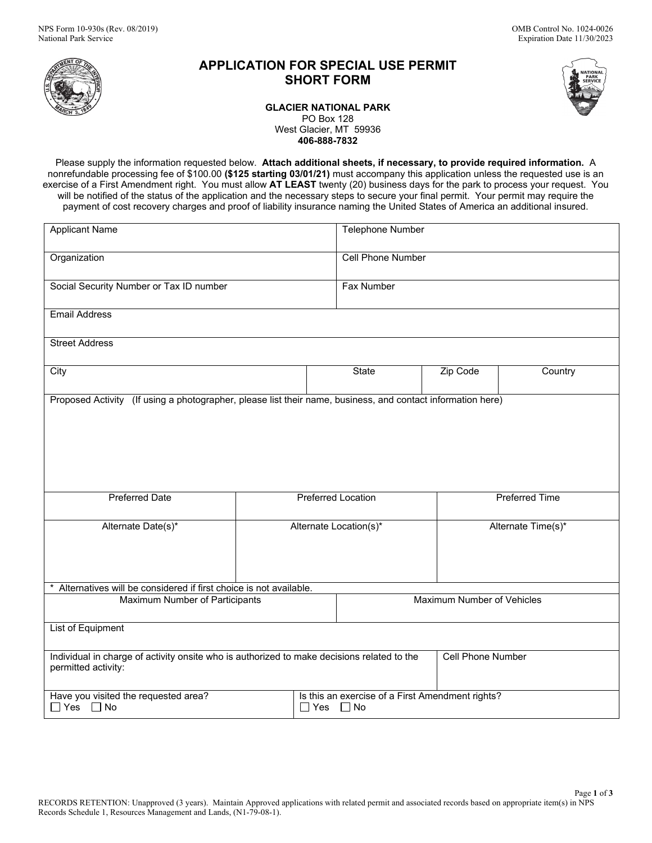

# **APPLICATION FOR SPECIAL USE PERMIT SHORT FORM**



**GLACIER NATIONAL PARK** PO Box 128 West Glacier, MT 59936 **406-888-7832**

Please supply the information requested below. **Attach additional sheets, if necessary, to provide required information.** A nonrefundable processing fee of \$100.00 **(\$125 starting 03/01/21)** must accompany this application unless the requested use is an exercise of a First Amendment right. You must allow **AT LEAST** twenty (20) business days for the park to process your request. You will be notified of the status of the application and the necessary steps to secure your final permit. Your permit may require the payment of cost recovery charges and proof of liability insurance naming the United States of America an additional insured.

| <b>Applicant Name</b>                                                                                             |                           |       | Telephone Number                                                         |                       |         |  |
|-------------------------------------------------------------------------------------------------------------------|---------------------------|-------|--------------------------------------------------------------------------|-----------------------|---------|--|
| Organization                                                                                                      |                           |       | <b>Cell Phone Number</b>                                                 |                       |         |  |
| Social Security Number or Tax ID number                                                                           |                           |       | <b>Fax Number</b>                                                        |                       |         |  |
| <b>Email Address</b>                                                                                              |                           |       |                                                                          |                       |         |  |
| <b>Street Address</b>                                                                                             |                           |       |                                                                          |                       |         |  |
| City                                                                                                              |                           | State |                                                                          | Zip Code              | Country |  |
| Proposed Activity (If using a photographer, please list their name, business, and contact information here)       |                           |       |                                                                          |                       |         |  |
| <b>Preferred Date</b>                                                                                             | <b>Preferred Location</b> |       |                                                                          | <b>Preferred Time</b> |         |  |
| Alternate Date(s)*                                                                                                | Alternate Location(s)*    |       |                                                                          | Alternate Time(s)*    |         |  |
| Alternatives will be considered if first choice is not available.                                                 |                           |       |                                                                          |                       |         |  |
| Maximum Number of Participants                                                                                    |                           |       | Maximum Number of Vehicles                                               |                       |         |  |
| List of Equipment                                                                                                 |                           |       |                                                                          |                       |         |  |
| Individual in charge of activity onsite who is authorized to make decisions related to the<br>permitted activity: |                           |       | <b>Cell Phone Number</b>                                                 |                       |         |  |
| Have you visited the requested area?<br>$\Box$ Yes $\Box$ No                                                      |                           |       | Is this an exercise of a First Amendment rights?<br>$\Box$ Yes $\Box$ No |                       |         |  |